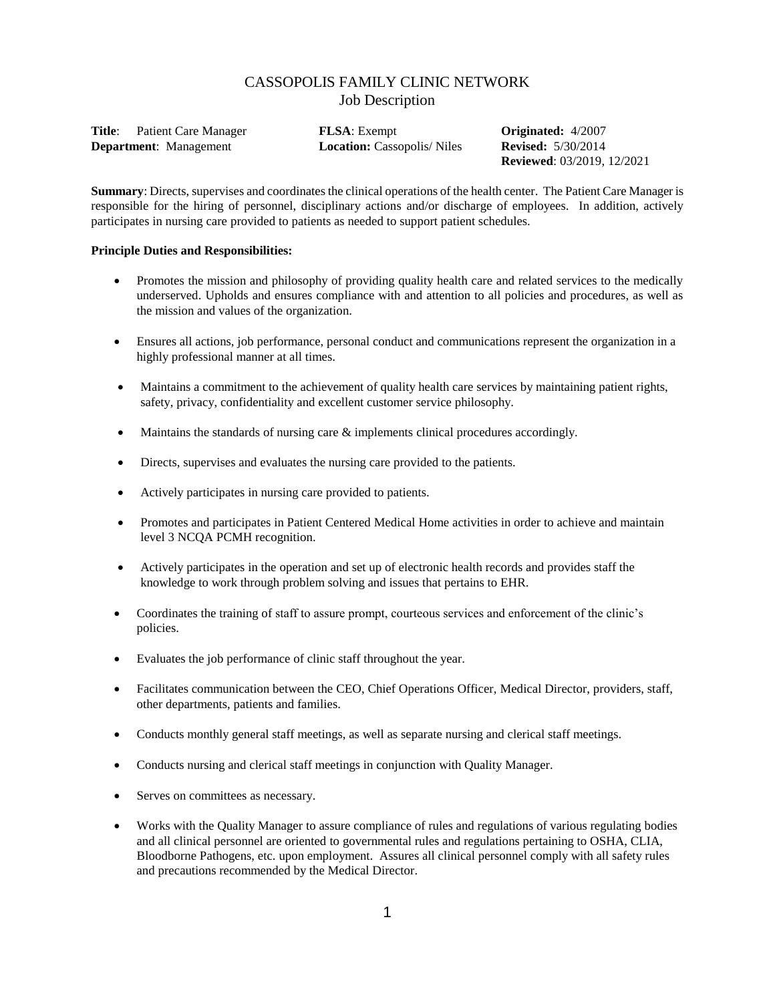# CASSOPOLIS FAMILY CLINIC NETWORK Job Description

| Title:<br>Patient Care Manager | <b>FLSA</b> : Exempt              | <b>Originated:</b> 4/2007         |
|--------------------------------|-----------------------------------|-----------------------------------|
| <b>Department</b> : Management | <b>Location:</b> Cassopolis/Niles | <b>Revised:</b> $5/30/2014$       |
|                                |                                   | <b>Reviewed:</b> 03/2019, 12/2021 |

**Summary**: Directs, supervises and coordinates the clinical operations of the health center. The Patient Care Manager is responsible for the hiring of personnel, disciplinary actions and/or discharge of employees. In addition, actively participates in nursing care provided to patients as needed to support patient schedules.

#### **Principle Duties and Responsibilities:**

- Promotes the mission and philosophy of providing quality health care and related services to the medically underserved. Upholds and ensures compliance with and attention to all policies and procedures, as well as the mission and values of the organization.
- Ensures all actions, job performance, personal conduct and communications represent the organization in a highly professional manner at all times.
- Maintains a commitment to the achievement of quality health care services by maintaining patient rights, safety, privacy, confidentiality and excellent customer service philosophy.
- Maintains the standards of nursing care & implements clinical procedures accordingly.
- Directs, supervises and evaluates the nursing care provided to the patients.
- Actively participates in nursing care provided to patients.
- Promotes and participates in Patient Centered Medical Home activities in order to achieve and maintain level 3 NCQA PCMH recognition.
- Actively participates in the operation and set up of electronic health records and provides staff the knowledge to work through problem solving and issues that pertains to EHR.
- Coordinates the training of staff to assure prompt, courteous services and enforcement of the clinic's policies.
- Evaluates the job performance of clinic staff throughout the year.
- Facilitates communication between the CEO, Chief Operations Officer, Medical Director, providers, staff, other departments, patients and families.
- Conducts monthly general staff meetings, as well as separate nursing and clerical staff meetings.
- Conducts nursing and clerical staff meetings in conjunction with Quality Manager.
- Serves on committees as necessary.
- Works with the Quality Manager to assure compliance of rules and regulations of various regulating bodies and all clinical personnel are oriented to governmental rules and regulations pertaining to OSHA, CLIA, Bloodborne Pathogens, etc. upon employment. Assures all clinical personnel comply with all safety rules and precautions recommended by the Medical Director.